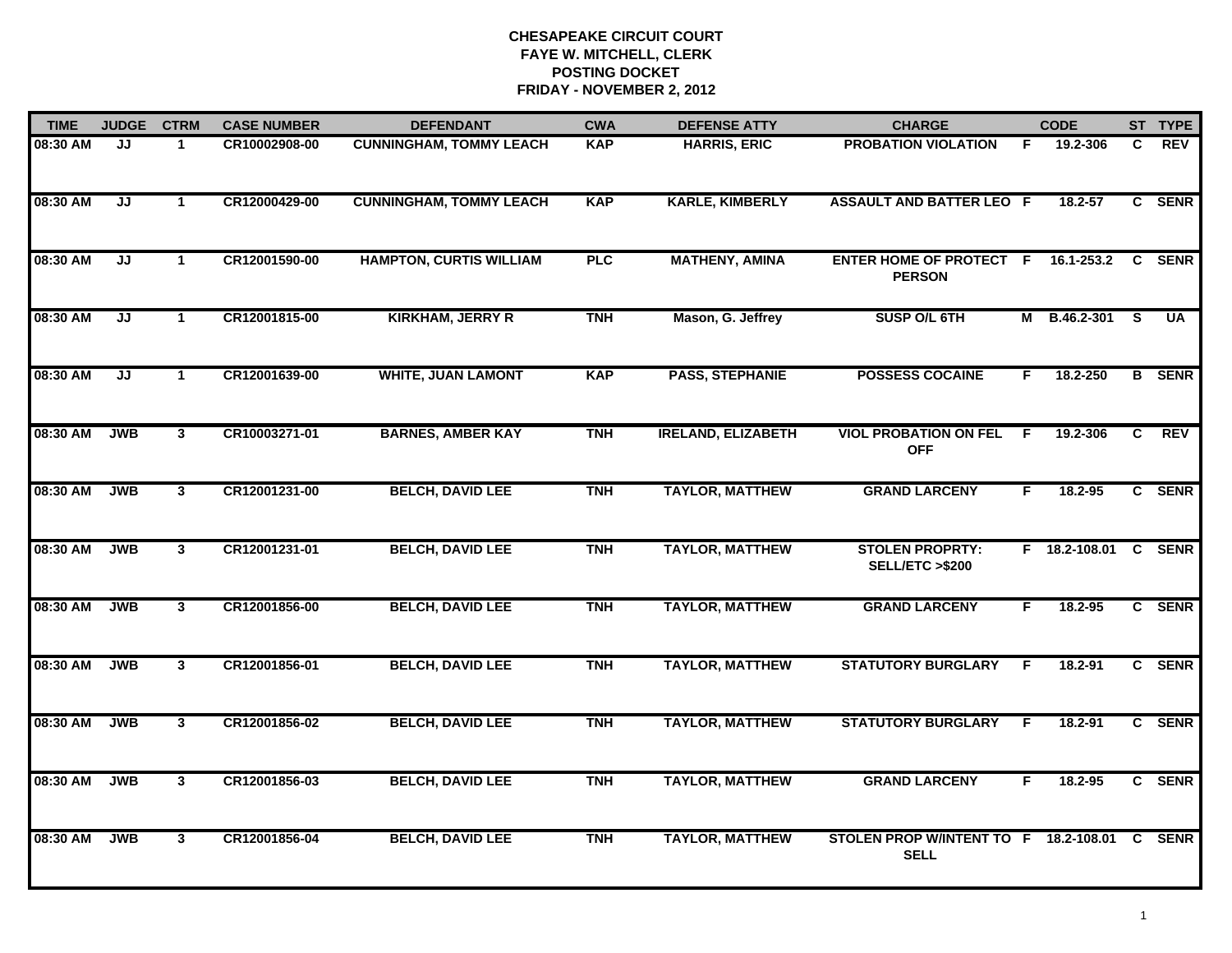| <b>TIME</b> | <b>JUDGE</b> | <b>CTRM</b>    | <b>CASE NUMBER</b> | <b>DEFENDANT</b>               | <b>CWA</b> | <b>DEFENSE ATTY</b>       | <b>CHARGE</b>                                        |    | <b>CODE</b>          |    | ST TYPE       |
|-------------|--------------|----------------|--------------------|--------------------------------|------------|---------------------------|------------------------------------------------------|----|----------------------|----|---------------|
| 08:30 AM    | JJ           | -1             | CR10002908-00      | <b>CUNNINGHAM, TOMMY LEACH</b> | <b>KAP</b> | <b>HARRIS, ERIC</b>       | <b>PROBATION VIOLATION</b>                           | F  | 19.2-306             | C  | REV           |
| 08:30 AM    | JJ           | $\mathbf{1}$   | CR12000429-00      | <b>CUNNINGHAM, TOMMY LEACH</b> | <b>KAP</b> | <b>KARLE, KIMBERLY</b>    | <b>ASSAULT AND BATTER LEO F</b>                      |    | 18.2-57              |    | C SENR        |
| 08:30 AM    | JJ           | $\mathbf{1}$   | CR12001590-00      | <b>HAMPTON, CURTIS WILLIAM</b> | <b>PLC</b> | <b>MATHENY, AMINA</b>     | ENTER HOME OF PROTECT F 16.1-253.2<br><b>PERSON</b>  |    |                      |    | C SENR        |
| 08:30 AM    | JJ           | $\mathbf 1$    | CR12001815-00      | <b>KIRKHAM, JERRY R</b>        | <b>TNH</b> | Mason, G. Jeffrey         | SUSP O/L 6TH                                         | м  | B.46.2-301           | -S | <b>UA</b>     |
| 08:30 AM    | JJ           | $\mathbf 1$    | CR12001639-00      | <b>WHITE, JUAN LAMONT</b>      | <b>KAP</b> | <b>PASS, STEPHANIE</b>    | <b>POSSESS COCAINE</b>                               | F. | 18.2-250             |    | <b>B</b> SENR |
| 08:30 AM    | <b>JWB</b>   | $3^{\circ}$    | CR10003271-01      | <b>BARNES, AMBER KAY</b>       | <b>TNH</b> | <b>IRELAND, ELIZABETH</b> | <b>VIOL PROBATION ON FEL</b><br><b>OFF</b>           | F. | 19.2-306             | C  | REV           |
| 08:30 AM    | <b>JWB</b>   | 3              | CR12001231-00      | <b>BELCH, DAVID LEE</b>        | <b>TNH</b> | <b>TAYLOR, MATTHEW</b>    | <b>GRAND LARCENY</b>                                 | F. | 18.2-95              |    | C SENR        |
| 08:30 AM    | <b>JWB</b>   | $\mathbf{3}$   | CR12001231-01      | <b>BELCH, DAVID LEE</b>        | <b>TNH</b> | <b>TAYLOR, MATTHEW</b>    | <b>STOLEN PROPRTY:</b><br><b>SELL/ETC &gt;\$200</b>  |    | F 18.2-108.01 C SENR |    |               |
| 08:30 AM    | <b>JWB</b>   | 3              | CR12001856-00      | <b>BELCH, DAVID LEE</b>        | <b>TNH</b> | <b>TAYLOR, MATTHEW</b>    | <b>GRAND LARCENY</b>                                 | F  | $18.2 - 95$          |    | C SENR        |
| 08:30 AM    | <b>JWB</b>   | $\mathbf{3}$   | CR12001856-01      | <b>BELCH, DAVID LEE</b>        | <b>TNH</b> | <b>TAYLOR, MATTHEW</b>    | <b>STATUTORY BURGLARY</b>                            | F  | $18.2 - 91$          |    | C SENR        |
| 08:30 AM    | <b>JWB</b>   | 3              | CR12001856-02      | <b>BELCH, DAVID LEE</b>        | <b>TNH</b> | <b>TAYLOR, MATTHEW</b>    | <b>STATUTORY BURGLARY</b>                            | .F | 18.2-91              |    | C SENR        |
| 08:30 AM    | <b>JWB</b>   | $\overline{3}$ | CR12001856-03      | <b>BELCH, DAVID LEE</b>        | <b>TNH</b> | <b>TAYLOR, MATTHEW</b>    | <b>GRAND LARCENY</b>                                 | F. | 18.2-95              |    | C SENR        |
| 08:30 AM    | <b>JWB</b>   | $\mathbf{3}$   | CR12001856-04      | <b>BELCH, DAVID LEE</b>        | <b>TNH</b> | <b>TAYLOR, MATTHEW</b>    | STOLEN PROP W/INTENT TO F 18.2-108.01<br><b>SELL</b> |    |                      |    | C SENR        |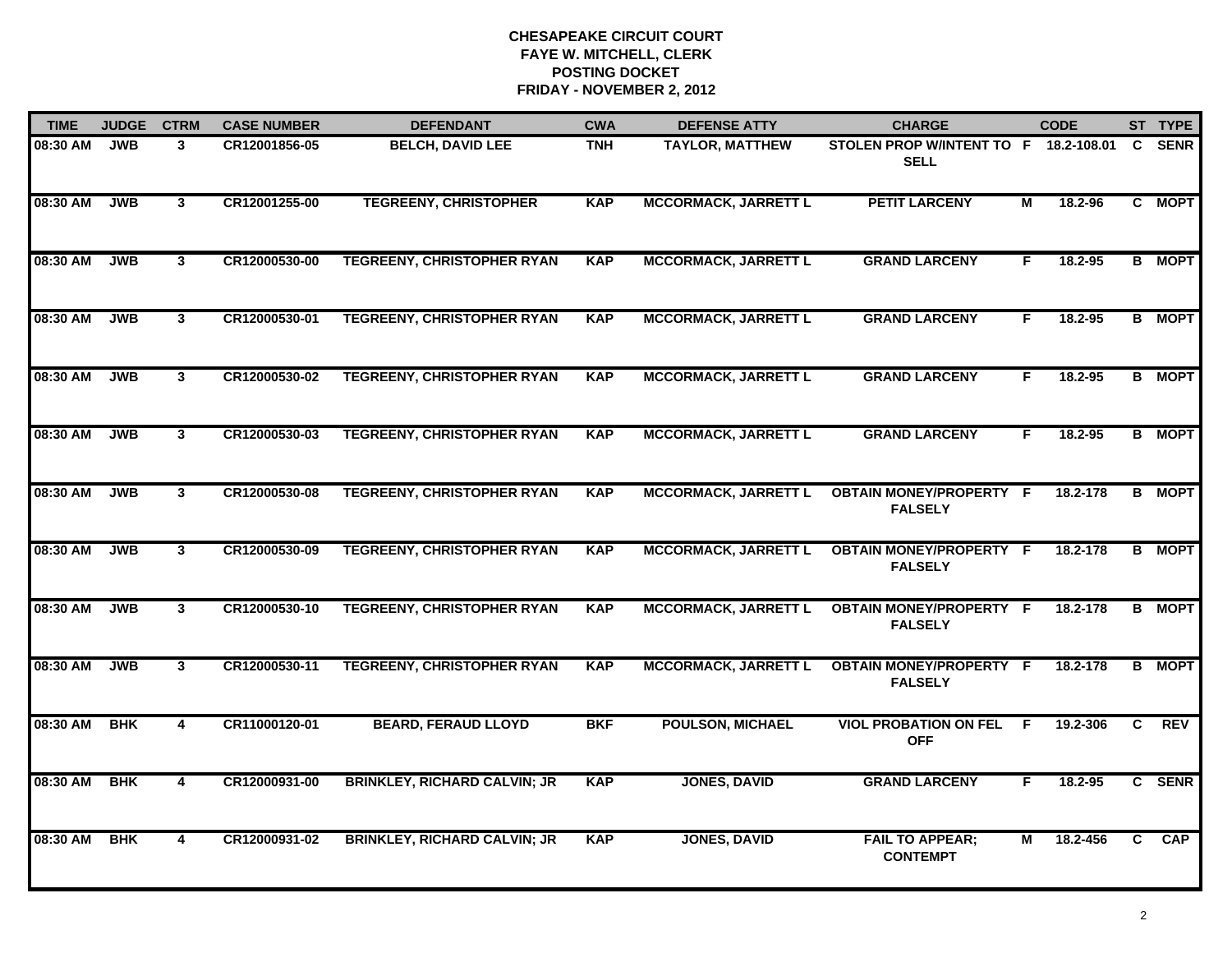| <b>TIME</b> | <b>JUDGE</b> | <b>CTRM</b>    | <b>CASE NUMBER</b> | <b>DEFENDANT</b>                    | <b>CWA</b> | <b>DEFENSE ATTY</b>         | <b>CHARGE</b>                                        |    | <b>CODE</b> |                | ST TYPE       |
|-------------|--------------|----------------|--------------------|-------------------------------------|------------|-----------------------------|------------------------------------------------------|----|-------------|----------------|---------------|
| 08:30 AM    | <b>JWB</b>   | 3              | CR12001856-05      | <b>BELCH, DAVID LEE</b>             | <b>TNH</b> | <b>TAYLOR, MATTHEW</b>      | STOLEN PROP W/INTENT TO F 18.2-108.01<br><b>SELL</b> |    |             | $\mathbf{C}$   | <b>SENR</b>   |
| 08:30 AM    | <b>JWB</b>   | $3^{\circ}$    | CR12001255-00      | <b>TEGREENY, CHRISTOPHER</b>        | <b>KAP</b> | <b>MCCORMACK, JARRETT L</b> | <b>PETIT LARCENY</b>                                 | М  | 18.2-96     |                | C MOPT        |
| 08:30 AM    | <b>JWB</b>   | 3 <sup>1</sup> | CR12000530-00      | <b>TEGREENY, CHRISTOPHER RYAN</b>   | <b>KAP</b> | <b>MCCORMACK, JARRETT L</b> | <b>GRAND LARCENY</b>                                 | F  | 18.2-95     |                | <b>B</b> MOPT |
| 08:30 AM    | <b>JWB</b>   | $\mathbf{3}$   | CR12000530-01      | <b>TEGREENY, CHRISTOPHER RYAN</b>   | <b>KAP</b> | <b>MCCORMACK, JARRETT L</b> | <b>GRAND LARCENY</b>                                 | F. | $18.2 - 95$ |                | <b>B</b> MOPT |
| 08:30 AM    | <b>JWB</b>   | $\mathbf{3}$   | CR12000530-02      | <b>TEGREENY, CHRISTOPHER RYAN</b>   | <b>KAP</b> | <b>MCCORMACK, JARRETT L</b> | <b>GRAND LARCENY</b>                                 | F. | 18.2-95     |                | <b>B</b> MOPT |
| 08:30 AM    | <b>JWB</b>   | $\mathbf{3}$   | CR12000530-03      | <b>TEGREENY, CHRISTOPHER RYAN</b>   | <b>KAP</b> | <b>MCCORMACK, JARRETT L</b> | <b>GRAND LARCENY</b>                                 | F. | 18.2-95     |                | <b>B</b> MOPT |
| 08:30 AM    | <b>JWB</b>   | $3^{\circ}$    | CR12000530-08      | <b>TEGREENY, CHRISTOPHER RYAN</b>   | <b>KAP</b> | <b>MCCORMACK, JARRETT L</b> | <b>OBTAIN MONEY/PROPERTY F</b><br><b>FALSELY</b>     |    | 18.2-178    |                | <b>B</b> MOPT |
| 08:30 AM    | <b>JWB</b>   | 3 <sup>1</sup> | CR12000530-09      | <b>TEGREENY, CHRISTOPHER RYAN</b>   | <b>KAP</b> | <b>MCCORMACK, JARRETT L</b> | <b>OBTAIN MONEY/PROPERTY F</b><br><b>FALSELY</b>     |    | 18.2-178    |                | <b>B</b> MOPT |
| 08:30 AM    | <b>JWB</b>   | 3              | CR12000530-10      | <b>TEGREENY, CHRISTOPHER RYAN</b>   | <b>KAP</b> | <b>MCCORMACK, JARRETT L</b> | <b>OBTAIN MONEY/PROPERTY F</b><br><b>FALSELY</b>     |    | 18.2-178    |                | <b>B</b> MOPT |
| 08:30 AM    | <b>JWB</b>   | 3              | CR12000530-11      | <b>TEGREENY, CHRISTOPHER RYAN</b>   | <b>KAP</b> | <b>MCCORMACK, JARRETT L</b> | <b>OBTAIN MONEY/PROPERTY F</b><br><b>FALSELY</b>     |    | 18.2-178    |                | <b>B</b> MOPT |
| 08:30 AM    | <b>BHK</b>   | 4              | CR11000120-01      | <b>BEARD, FERAUD LLOYD</b>          | <b>BKF</b> | <b>POULSON, MICHAEL</b>     | <b>VIOL PROBATION ON FEL</b><br><b>OFF</b>           | -F | 19.2-306    | C              | <b>REV</b>    |
| 08:30 AM    | <b>BHK</b>   | 4              | CR12000931-00      | <b>BRINKLEY, RICHARD CALVIN; JR</b> | <b>KAP</b> | <b>JONES, DAVID</b>         | <b>GRAND LARCENY</b>                                 | F  | 18.2-95     | $\overline{c}$ | <b>SENR</b>   |
| 08:30 AM    | <b>BHK</b>   | 4              | CR12000931-02      | <b>BRINKLEY, RICHARD CALVIN; JR</b> | <b>KAP</b> | <b>JONES, DAVID</b>         | <b>FAIL TO APPEAR;</b><br><b>CONTEMPT</b>            | м  | 18.2-456    | C              | <b>CAP</b>    |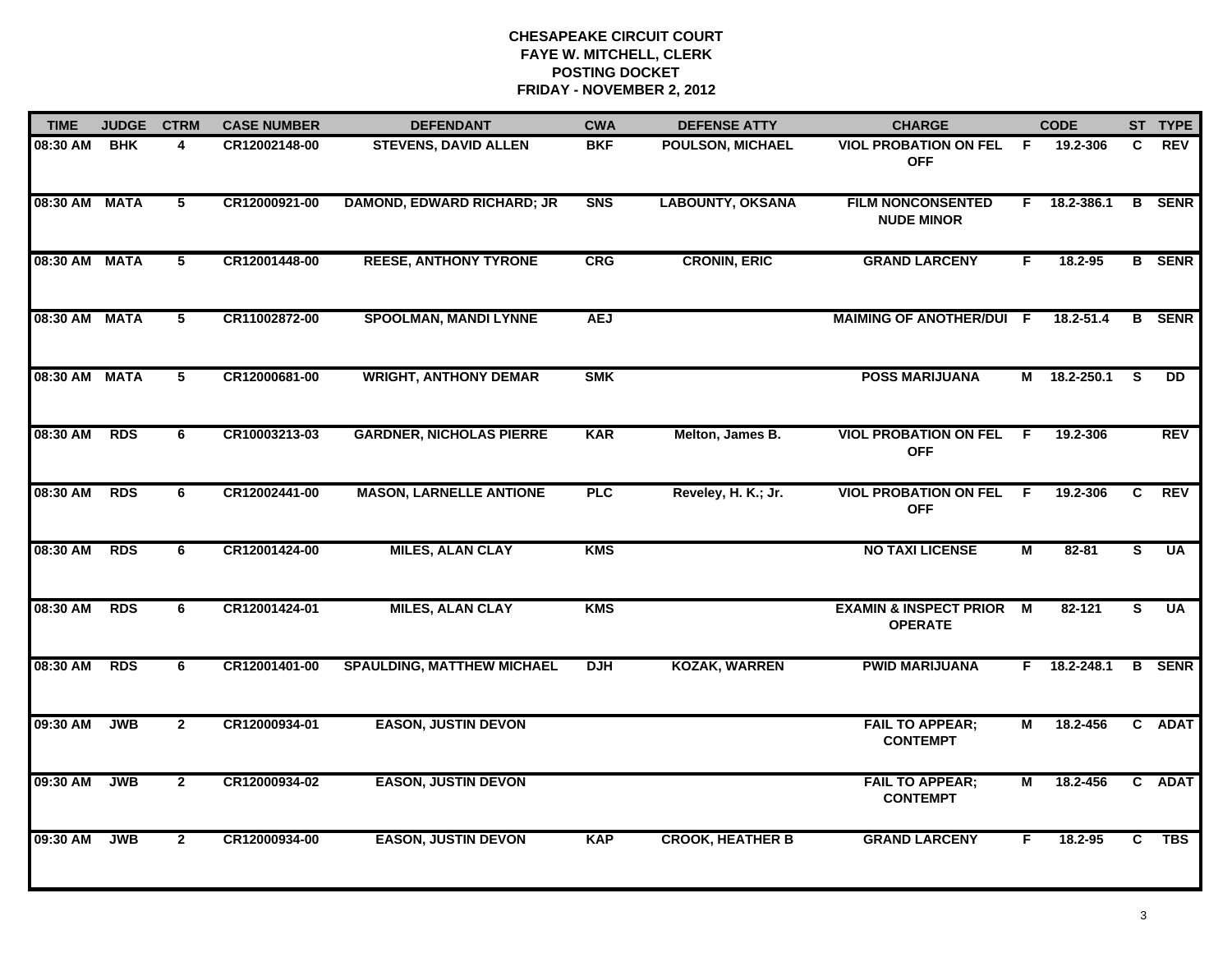| <b>TIME</b>   | <b>JUDGE</b> | <b>CTRM</b>     | <b>CASE NUMBER</b> | <b>DEFENDANT</b>                  | <b>CWA</b> | <b>DEFENSE ATTY</b>     | <b>CHARGE</b>                                       |                | <b>CODE</b>    |    | ST TYPE       |
|---------------|--------------|-----------------|--------------------|-----------------------------------|------------|-------------------------|-----------------------------------------------------|----------------|----------------|----|---------------|
| 08:30 AM      | <b>BHK</b>   | 4               | CR12002148-00      | <b>STEVENS, DAVID ALLEN</b>       | <b>BKF</b> | POULSON, MICHAEL        | <b>VIOL PROBATION ON FEL</b><br><b>OFF</b>          | F.             | 19.2-306       | C. | <b>REV</b>    |
| 08:30 AM MATA |              | $5\overline{ }$ | CR12000921-00      | <b>DAMOND, EDWARD RICHARD; JR</b> | <b>SNS</b> | <b>LABOUNTY, OKSANA</b> | <b>FILM NONCONSENTED</b><br><b>NUDE MINOR</b>       | F.             | 18.2-386.1     |    | <b>B</b> SENR |
| 08:30 AM MATA |              | $5\overline{ }$ | CR12001448-00      | <b>REESE, ANTHONY TYRONE</b>      | <b>CRG</b> | <b>CRONIN, ERIC</b>     | <b>GRAND LARCENY</b>                                | F.             | 18.2-95        |    | <b>B</b> SENR |
| 08:30 AM MATA |              | 5               | CR11002872-00      | <b>SPOOLMAN, MANDI LYNNE</b>      | <b>AEJ</b> |                         | <b>MAIMING OF ANOTHER/DUI F</b>                     |                | 18.2-51.4      | B. | <b>SENR</b>   |
| 08:30 AM MATA |              | 5               | CR12000681-00      | <b>WRIGHT, ANTHONY DEMAR</b>      | <b>SMK</b> |                         | <b>POSS MARIJUANA</b>                               | M              | 18.2-250.1     | S  | <b>DD</b>     |
| 08:30 AM      | <b>RDS</b>   | 6               | CR10003213-03      | <b>GARDNER, NICHOLAS PIERRE</b>   | <b>KAR</b> | Melton, James B.        | <b>VIOL PROBATION ON FEL F</b><br><b>OFF</b>        |                | 19.2-306       |    | <b>REV</b>    |
| 08:30 AM      | <b>RDS</b>   | 6               | CR12002441-00      | <b>MASON, LARNELLE ANTIONE</b>    | PLC        | Reveley, H. K.; Jr.     | <b>VIOL PROBATION ON FEL</b><br><b>OFF</b>          | <b>F</b>       | 19.2-306       | C  | <b>REV</b>    |
| 08:30 AM      | <b>RDS</b>   | 6               | CR12001424-00      | <b>MILES, ALAN CLAY</b>           | <b>KMS</b> |                         | <b>NO TAXI LICENSE</b>                              | $\overline{M}$ | $82 - 81$      | S  | <b>UA</b>     |
| 08:30 AM      | <b>RDS</b>   | 6               | CR12001424-01      | <b>MILES, ALAN CLAY</b>           | <b>KMS</b> |                         | <b>EXAMIN &amp; INSPECT PRIOR</b><br><b>OPERATE</b> | М              | 82-121         | S  | <b>UA</b>     |
| 08:30 AM      | <b>RDS</b>   | 6               | CR12001401-00      | <b>SPAULDING, MATTHEW MICHAEL</b> | <b>DJH</b> | <b>KOZAK, WARREN</b>    | <b>PWID MARIJUANA</b>                               |                | $F$ 18.2-248.1 |    | <b>B</b> SENR |
| 09:30 AM      | <b>JWB</b>   | $\overline{2}$  | CR12000934-01      | <b>EASON, JUSTIN DEVON</b>        |            |                         | <b>FAIL TO APPEAR;</b><br><b>CONTEMPT</b>           | М              | 18.2-456       |    | C ADAT        |
| 09:30 AM      | <b>JWB</b>   | $\overline{2}$  | CR12000934-02      | <b>EASON, JUSTIN DEVON</b>        |            |                         | <b>FAIL TO APPEAR;</b><br><b>CONTEMPT</b>           | М              | 18.2-456       |    | C ADAT        |
| 09:30 AM      | <b>JWB</b>   | $\overline{2}$  | CR12000934-00      | <b>EASON, JUSTIN DEVON</b>        | <b>KAP</b> | <b>CROOK, HEATHER B</b> | <b>GRAND LARCENY</b>                                | F.             | 18.2-95        | C. | <b>TBS</b>    |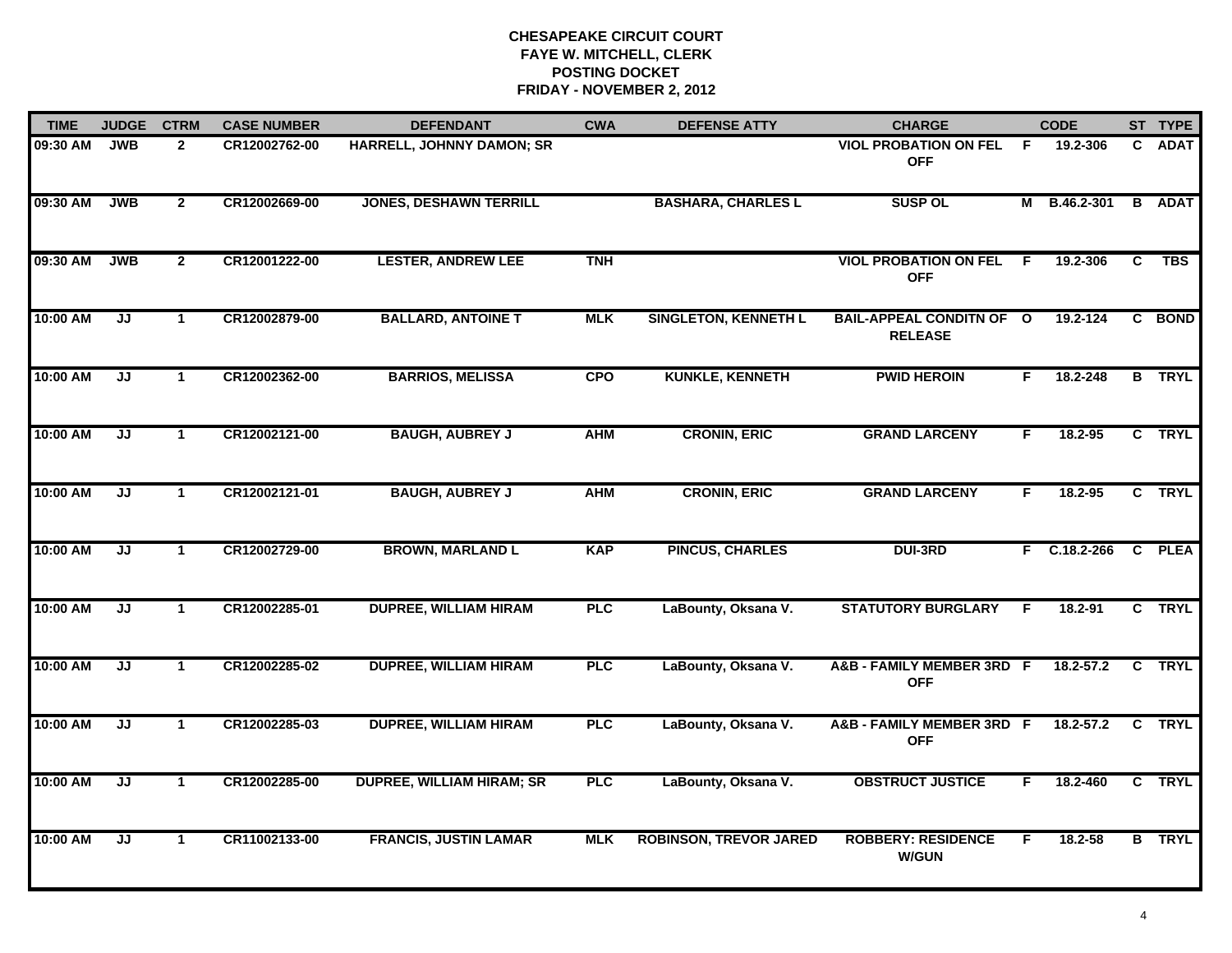| <b>TIME</b> | <b>JUDGE</b> | <b>CTRM</b>          | <b>CASE NUMBER</b> | <b>DEFENDANT</b>                 | <b>CWA</b> | <b>DEFENSE ATTY</b>           | <b>CHARGE</b>                                     |     | <b>CODE</b>    |    | ST TYPE       |
|-------------|--------------|----------------------|--------------------|----------------------------------|------------|-------------------------------|---------------------------------------------------|-----|----------------|----|---------------|
| 09:30 AM    | <b>JWB</b>   | $\mathbf{2}$         | CR12002762-00      | HARRELL, JOHNNY DAMON; SR        |            |                               | <b>VIOL PROBATION ON FEL</b><br><b>OFF</b>        | -F  | 19.2-306       | C. | <b>ADAT</b>   |
| 09:30 AM    | <b>JWB</b>   | $\mathbf{2}$         | CR12002669-00      | <b>JONES, DESHAWN TERRILL</b>    |            | <b>BASHARA, CHARLES L</b>     | <b>SUSP OL</b>                                    |     | M B.46.2-301   |    | <b>B</b> ADAT |
| 09:30 AM    | <b>JWB</b>   | $\mathbf{2}$         | CR12001222-00      | <b>LESTER, ANDREW LEE</b>        | <b>TNH</b> |                               | <b>VIOL PROBATION ON FEL</b><br><b>OFF</b>        | - F | 19.2-306       | C  | TBS           |
| 10:00 AM    | JJ           | 1.                   | CR12002879-00      | <b>BALLARD, ANTOINE T</b>        | <b>MLK</b> | <b>SINGLETON, KENNETH L</b>   | <b>BAIL-APPEAL CONDITN OF O</b><br><b>RELEASE</b> |     | 19.2-124       |    | C BOND        |
| 10:00 AM    | JJ           | $\mathbf 1$          | CR12002362-00      | <b>BARRIOS, MELISSA</b>          | <b>CPO</b> | <b>KUNKLE, KENNETH</b>        | <b>PWID HEROIN</b>                                | F.  | 18.2-248       |    | <b>B</b> TRYL |
| 10:00 AM    | JJ           | $\mathbf 1$          | CR12002121-00      | <b>BAUGH, AUBREY J</b>           | <b>AHM</b> | <b>CRONIN, ERIC</b>           | <b>GRAND LARCENY</b>                              | F.  | 18.2-95        |    | C TRYL        |
| 10:00 AM    | JJ           | $\mathbf{1}$         | CR12002121-01      | <b>BAUGH, AUBREY J</b>           | <b>AHM</b> | <b>CRONIN, ERIC</b>           | <b>GRAND LARCENY</b>                              | F   | 18.2-95        |    | C TRYL        |
| 10:00 AM    | JJ           | $\mathbf{1}$         | CR12002729-00      | <b>BROWN, MARLAND L</b>          | <b>KAP</b> | <b>PINCUS, CHARLES</b>        | <b>DUI-3RD</b>                                    |     | $F$ C.18.2-266 |    | C PLEA        |
| 10:00 AM    | JJ           | 1                    | CR12002285-01      | <b>DUPREE, WILLIAM HIRAM</b>     | PLC        | LaBounty, Oksana V.           | <b>STATUTORY BURGLARY</b>                         | F   | 18.2-91        |    | C TRYL        |
| 10:00 AM    | JJ           | $\mathbf{1}$         | CR12002285-02      | <b>DUPREE, WILLIAM HIRAM</b>     | <b>PLC</b> | LaBounty, Oksana V.           | A&B - FAMILY MEMBER 3RD F<br><b>OFF</b>           |     | $18.2 - 57.2$  |    | C TRYL        |
| 10:00 AM    | JJ           | $\blacktriangleleft$ | CR12002285-03      | <b>DUPREE, WILLIAM HIRAM</b>     | <b>PLC</b> | LaBounty, Oksana V.           | A&B - FAMILY MEMBER 3RD F<br><b>OFF</b>           |     | $18.2 - 57.2$  | C  | <b>TRYL</b>   |
| 10:00 AM    | JJ           | $\mathbf 1$          | CR12002285-00      | <b>DUPREE, WILLIAM HIRAM; SR</b> | PLC        | LaBounty, Oksana V.           | <b>OBSTRUCT JUSTICE</b>                           | F.  | 18.2-460       |    | C TRYL        |
| 10:00 AM    | JJ           | $\mathbf 1$          | CR11002133-00      | <b>FRANCIS, JUSTIN LAMAR</b>     | <b>MLK</b> | <b>ROBINSON, TREVOR JARED</b> | <b>ROBBERY: RESIDENCE</b><br><b>W/GUN</b>         | F.  | 18.2-58        |    | <b>B</b> TRYL |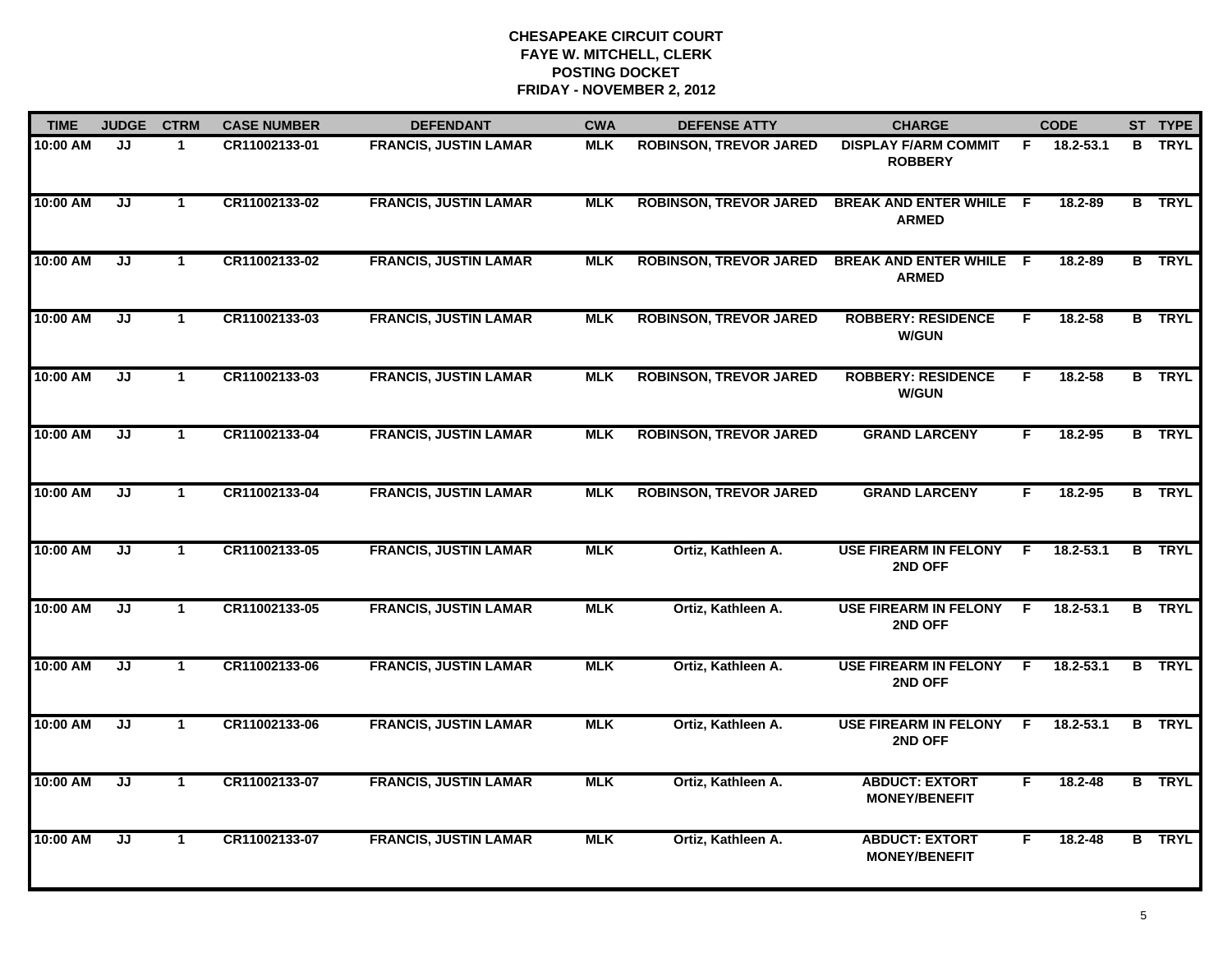| <b>TIME</b> | <b>JUDGE</b> | <b>CTRM</b>          | <b>CASE NUMBER</b> | <b>DEFENDANT</b>             | <b>CWA</b> | <b>DEFENSE ATTY</b>           | <b>CHARGE</b>                                  |     | <b>CODE</b>   |   | ST TYPE       |
|-------------|--------------|----------------------|--------------------|------------------------------|------------|-------------------------------|------------------------------------------------|-----|---------------|---|---------------|
| 10:00 AM    | JJ           | -1                   | CR11002133-01      | <b>FRANCIS, JUSTIN LAMAR</b> | <b>MLK</b> | <b>ROBINSON, TREVOR JARED</b> | <b>DISPLAY F/ARM COMMIT</b><br><b>ROBBERY</b>  | F.  | 18.2-53.1     | B | <b>TRYL</b>   |
| 10:00 AM    | JJ           | $\mathbf{1}$         | CR11002133-02      | <b>FRANCIS, JUSTIN LAMAR</b> | <b>MLK</b> | <b>ROBINSON, TREVOR JARED</b> | <b>BREAK AND ENTER WHILE F</b><br><b>ARMED</b> |     | 18.2-89       |   | <b>B</b> TRYL |
| 10:00 AM    | JJ           | $\mathbf{1}$         | CR11002133-02      | <b>FRANCIS, JUSTIN LAMAR</b> | <b>MLK</b> | <b>ROBINSON, TREVOR JARED</b> | <b>BREAK AND ENTER WHILE F</b><br><b>ARMED</b> |     | 18.2-89       |   | <b>B</b> TRYL |
| 10:00 AM    | JJ           | $\blacktriangleleft$ | CR11002133-03      | <b>FRANCIS, JUSTIN LAMAR</b> | <b>MLK</b> | <b>ROBINSON, TREVOR JARED</b> | <b>ROBBERY: RESIDENCE</b><br><b>W/GUN</b>      | F   | $18.2 - 58$   |   | <b>B</b> TRYL |
| 10:00 AM    | JJ           | $\blacktriangleleft$ | CR11002133-03      | <b>FRANCIS, JUSTIN LAMAR</b> | <b>MLK</b> | <b>ROBINSON, TREVOR JARED</b> | <b>ROBBERY: RESIDENCE</b><br><b>W/GUN</b>      | F.  | $18.2 - 58$   |   | <b>B</b> TRYL |
| 10:00 AM    | JJ           | $\mathbf 1$          | CR11002133-04      | <b>FRANCIS, JUSTIN LAMAR</b> | <b>MLK</b> | <b>ROBINSON, TREVOR JARED</b> | <b>GRAND LARCENY</b>                           | F.  | 18.2-95       |   | <b>B</b> TRYL |
| 10:00 AM    | JJ           | $\mathbf{1}$         | CR11002133-04      | <b>FRANCIS, JUSTIN LAMAR</b> | <b>MLK</b> | <b>ROBINSON, TREVOR JARED</b> | <b>GRAND LARCENY</b>                           | F   | 18.2-95       |   | <b>B</b> TRYL |
| 10:00 AM    | JJ           | $\mathbf{1}$         | CR11002133-05      | <b>FRANCIS, JUSTIN LAMAR</b> | <b>MLK</b> | Ortiz, Kathleen A.            | <b>USE FIREARM IN FELONY</b><br>2ND OFF        | -F  | 18.2-53.1     |   | <b>B</b> TRYL |
| 10:00 AM    | JJ           | $\mathbf 1$          | CR11002133-05      | <b>FRANCIS, JUSTIN LAMAR</b> | <b>MLK</b> | Ortiz, Kathleen A.            | <b>USE FIREARM IN FELONY</b><br>2ND OFF        | F   | $18.2 - 53.1$ | B | <b>TRYL</b>   |
| 10:00 AM    | JJ           | $\blacktriangleleft$ | CR11002133-06      | <b>FRANCIS, JUSTIN LAMAR</b> | <b>MLK</b> | Ortiz, Kathleen A.            | <b>USE FIREARM IN FELONY</b><br>2ND OFF        | E   | 18.2-53.1     |   | <b>B</b> TRYL |
| 10:00 AM    | JJ           | $\mathbf 1$          | CR11002133-06      | <b>FRANCIS, JUSTIN LAMAR</b> | <b>MLK</b> | Ortiz, Kathleen A.            | <b>USE FIREARM IN FELONY</b><br>2ND OFF        | - F | $18.2 - 53.1$ |   | <b>B</b> TRYL |
| 10:00 AM    | JJ           | $\mathbf{1}$         | CR11002133-07      | <b>FRANCIS, JUSTIN LAMAR</b> | <b>MLK</b> | Ortiz, Kathleen A.            | <b>ABDUCT: EXTORT</b><br><b>MONEY/BENEFIT</b>  | F.  | $18.2 - 48$   |   | <b>B</b> TRYL |
| 10:00 AM    | JJ           | $\mathbf{1}$         | CR11002133-07      | <b>FRANCIS, JUSTIN LAMAR</b> | <b>MLK</b> | Ortiz, Kathleen A.            | <b>ABDUCT: EXTORT</b><br><b>MONEY/BENEFIT</b>  | F   | $18.2 - 48$   |   | <b>B</b> TRYL |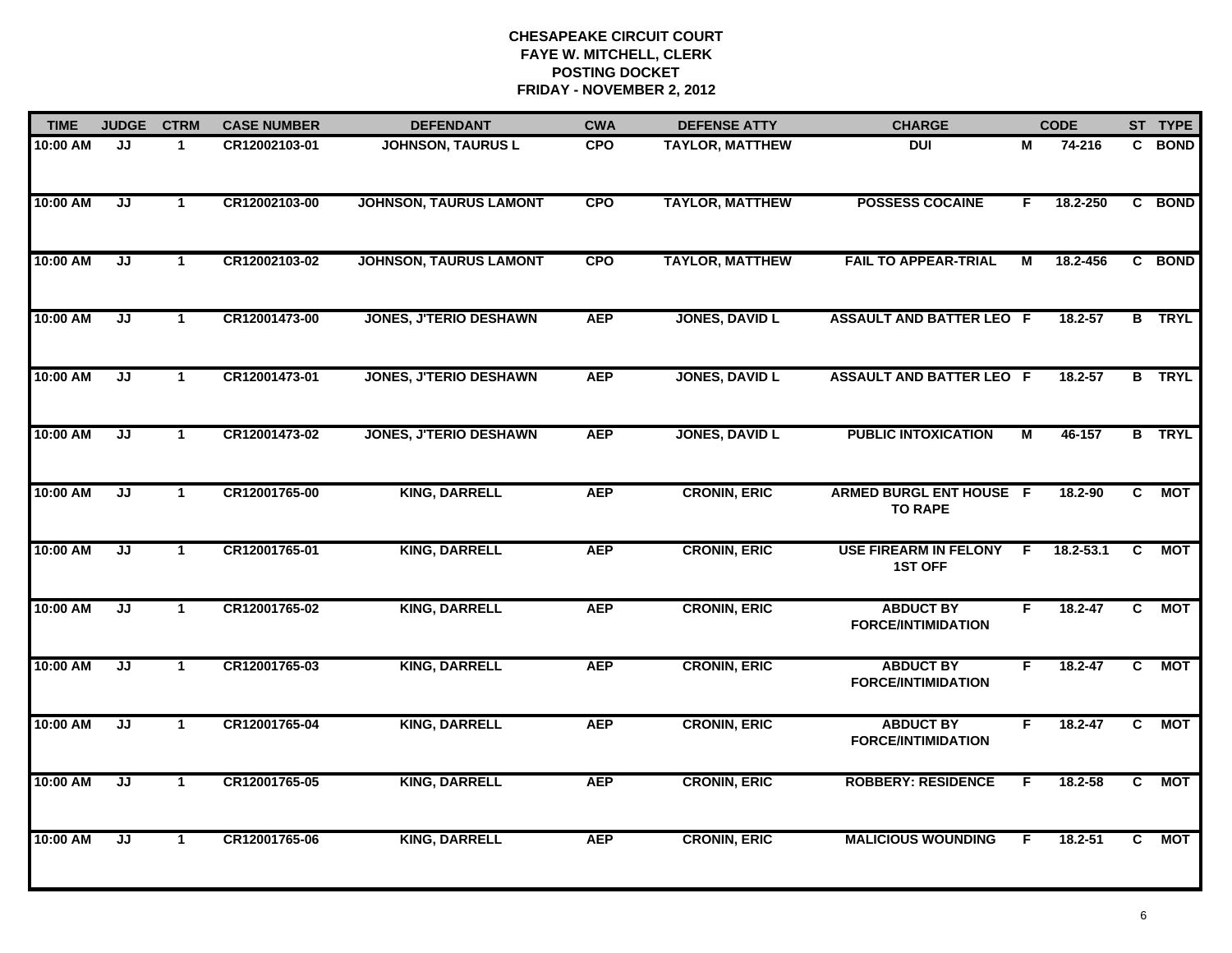| <b>TIME</b> | <b>JUDGE</b>                      | <b>CTRM</b>  | <b>CASE NUMBER</b> | <b>DEFENDANT</b>              | <b>CWA</b> | <b>DEFENSE ATTY</b>    | <b>CHARGE</b>                                    |    | <b>CODE</b> |                | ST TYPE       |
|-------------|-----------------------------------|--------------|--------------------|-------------------------------|------------|------------------------|--------------------------------------------------|----|-------------|----------------|---------------|
| 10:00 AM    | JJ                                | $\mathbf{1}$ | CR12002103-01      | <b>JOHNSON, TAURUS L</b>      | <b>CPO</b> | <b>TAYLOR, MATTHEW</b> | <b>DUI</b>                                       | М  | 74-216      | C.             | <b>BOND</b>   |
| 10:00 AM    | $\overline{\mathsf{J}\mathsf{J}}$ | $\mathbf{1}$ | CR12002103-00      | <b>JOHNSON, TAURUS LAMONT</b> | <b>CPO</b> | <b>TAYLOR, MATTHEW</b> | <b>POSSESS COCAINE</b>                           | F. | 18.2-250    |                | C BOND        |
| 10:00 AM    | $\overline{\mathsf{J}\mathsf{J}}$ | $\mathbf{1}$ | CR12002103-02      | <b>JOHNSON, TAURUS LAMONT</b> | <b>CPO</b> | <b>TAYLOR, MATTHEW</b> | <b>FAIL TO APPEAR-TRIAL</b>                      | М  | 18.2-456    |                | C BOND        |
| 10:00 AM    | JJ                                | $\mathbf 1$  | CR12001473-00      | <b>JONES, J'TERIO DESHAWN</b> | <b>AEP</b> | <b>JONES, DAVID L</b>  | <b>ASSAULT AND BATTER LEO F</b>                  |    | 18.2-57     |                | <b>B</b> TRYL |
| 10:00 AM    | JJ                                | $\mathbf 1$  | CR12001473-01      | <b>JONES, J'TERIO DESHAWN</b> | <b>AEP</b> | <b>JONES, DAVID L</b>  | <b>ASSAULT AND BATTER LEO F</b>                  |    | 18.2-57     |                | <b>B</b> TRYL |
| 10:00 AM    | JJ                                | $\mathbf{1}$ | CR12001473-02      | <b>JONES, J'TERIO DESHAWN</b> | <b>AEP</b> | <b>JONES, DAVID L</b>  | <b>PUBLIC INTOXICATION</b>                       | М  | 46-157      |                | <b>B</b> TRYL |
| 10:00 AM    | JJ                                | $\mathbf{1}$ | CR12001765-00      | <b>KING, DARRELL</b>          | <b>AEP</b> | <b>CRONIN, ERIC</b>    | <b>ARMED BURGL ENT HOUSE F</b><br><b>TO RAPE</b> |    | 18.2-90     | C              | <b>MOT</b>    |
| 10:00 AM    | $\overline{\mathsf{J}\mathsf{J}}$ | $\mathbf{1}$ | CR12001765-01      | <b>KING, DARRELL</b>          | <b>AEP</b> | <b>CRONIN, ERIC</b>    | <b>USE FIREARM IN FELONY</b><br><b>1ST OFF</b>   | E  | 18.2-53.1   | $\overline{c}$ | <b>MOT</b>    |
| 10:00 AM    | JJ                                | $\mathbf{1}$ | CR12001765-02      | <b>KING, DARRELL</b>          | <b>AEP</b> | <b>CRONIN, ERIC</b>    | <b>ABDUCT BY</b><br><b>FORCE/INTIMIDATION</b>    | F. | $18.2 - 47$ | C              | <b>MOT</b>    |
| 10:00 AM    | JJ                                | $\mathbf 1$  | CR12001765-03      | <b>KING, DARRELL</b>          | <b>AEP</b> | <b>CRONIN, ERIC</b>    | <b>ABDUCT BY</b><br><b>FORCE/INTIMIDATION</b>    | F. | $18.2 - 47$ | C              | <b>MOT</b>    |
| 10:00 AM    | JJ                                | $\mathbf{1}$ | CR12001765-04      | <b>KING, DARRELL</b>          | <b>AEP</b> | <b>CRONIN, ERIC</b>    | <b>ABDUCT BY</b><br><b>FORCE/INTIMIDATION</b>    | F  | $18.2 - 47$ | C              | <b>MOT</b>    |
| 10:00 AM    | JJ                                | $\mathbf{1}$ | CR12001765-05      | <b>KING, DARRELL</b>          | <b>AEP</b> | <b>CRONIN, ERIC</b>    | <b>ROBBERY: RESIDENCE</b>                        | F  | 18.2-58     | C              | <b>MOT</b>    |
| 10:00 AM    | $\overline{\mathsf{J}\mathsf{J}}$ | $\mathbf{1}$ | CR12001765-06      | <b>KING, DARRELL</b>          | <b>AEP</b> | <b>CRONIN, ERIC</b>    | <b>MALICIOUS WOUNDING</b>                        | F  | 18.2-51     | C              | <b>MOT</b>    |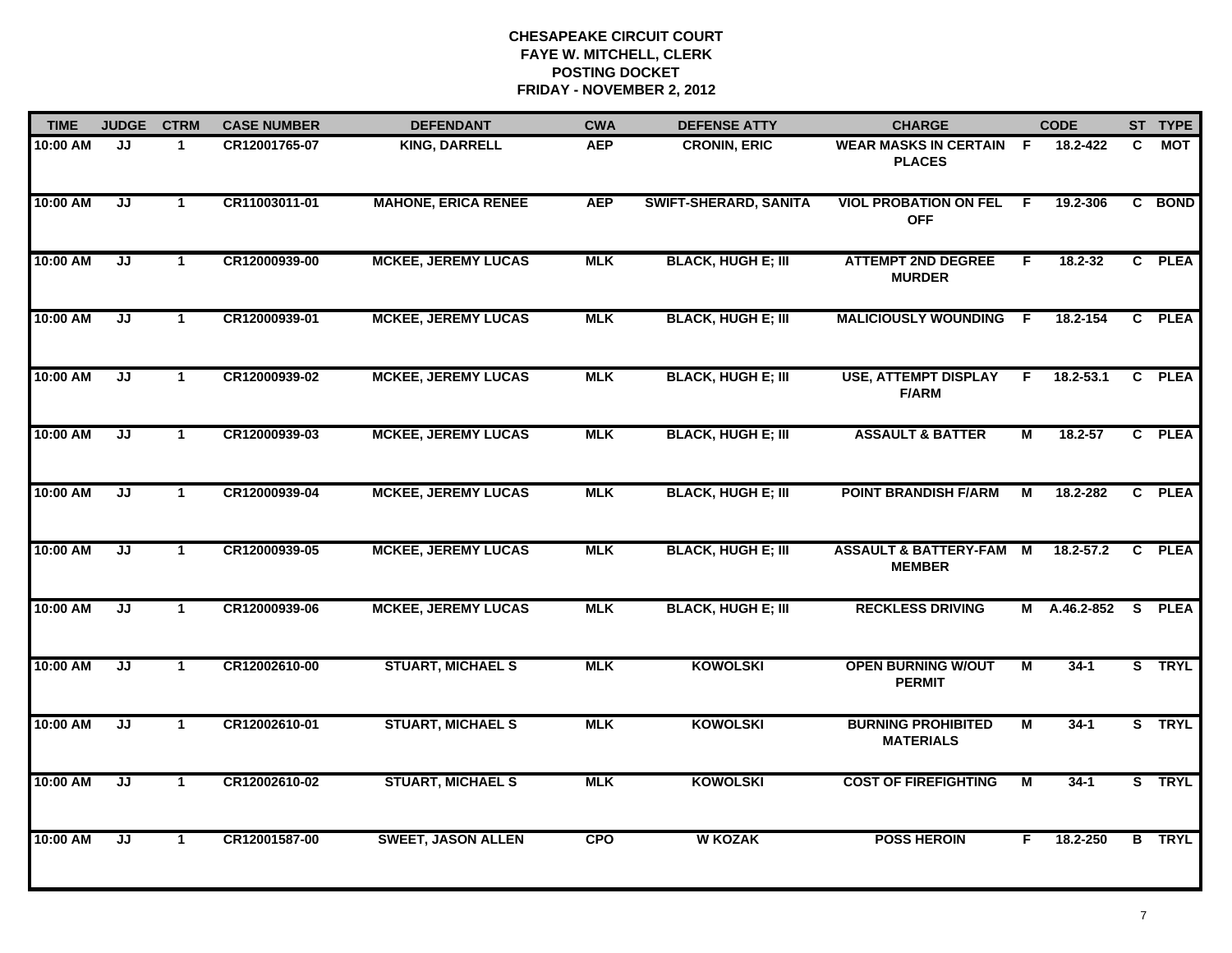| <b>TIME</b> | <b>JUDGE</b>                      | <b>CTRM</b>  | <b>CASE NUMBER</b> | <b>DEFENDANT</b>           | <b>CWA</b> | <b>DEFENSE ATTY</b>          | <b>CHARGE</b>                                       |                | <b>CODE</b>   |    | ST TYPE       |
|-------------|-----------------------------------|--------------|--------------------|----------------------------|------------|------------------------------|-----------------------------------------------------|----------------|---------------|----|---------------|
| 10:00 AM    | JJ                                | -1           | CR12001765-07      | <b>KING, DARRELL</b>       | <b>AEP</b> | <b>CRONIN, ERIC</b>          | <b>WEAR MASKS IN CERTAIN F</b><br><b>PLACES</b>     |                | 18.2-422      | C. | MOT           |
| 10:00 AM    | JJ                                | $\mathbf{1}$ | CR11003011-01      | <b>MAHONE, ERICA RENEE</b> | <b>AEP</b> | <b>SWIFT-SHERARD, SANITA</b> | <b>VIOL PROBATION ON FEL</b><br><b>OFF</b>          | F.             | 19.2-306      |    | C BOND        |
| 10:00 AM    | JJ                                | $\mathbf{1}$ | CR12000939-00      | <b>MCKEE, JEREMY LUCAS</b> | <b>MLK</b> | <b>BLACK, HUGH E; III</b>    | <b>ATTEMPT 2ND DEGREE</b><br><b>MURDER</b>          | F              | 18.2-32       |    | C PLEA        |
| 10:00 AM    | JJ                                | $\mathbf{1}$ | CR12000939-01      | <b>MCKEE, JEREMY LUCAS</b> | <b>MLK</b> | <b>BLACK, HUGH E; III</b>    | <b>MALICIOUSLY WOUNDING F</b>                       |                | 18.2-154      |    | C PLEA        |
| 10:00 AM    | JJ                                | 1            | CR12000939-02      | <b>MCKEE, JEREMY LUCAS</b> | <b>MLK</b> | <b>BLACK, HUGH E; III</b>    | <b>USE, ATTEMPT DISPLAY</b><br><b>F/ARM</b>         | F.             | $18.2 - 53.1$ |    | C PLEA        |
| 10:00 AM    | JJ                                | $\mathbf{1}$ | CR12000939-03      | <b>MCKEE, JEREMY LUCAS</b> | <b>MLK</b> | <b>BLACK, HUGH E; III</b>    | <b>ASSAULT &amp; BATTER</b>                         | Μ              | 18.2-57       |    | C PLEA        |
| 10:00 AM    | $\overline{\mathsf{J}\mathsf{J}}$ | $\mathbf{1}$ | CR12000939-04      | <b>MCKEE, JEREMY LUCAS</b> | <b>MLK</b> | <b>BLACK, HUGH E; III</b>    | <b>POINT BRANDISH F/ARM</b>                         | М              | 18.2-282      |    | C PLEA        |
| 10:00 AM    | JJ                                | $\mathbf{1}$ | CR12000939-05      | <b>MCKEE, JEREMY LUCAS</b> | <b>MLK</b> | <b>BLACK, HUGH E; III</b>    | <b>ASSAULT &amp; BATTERY-FAM M</b><br><b>MEMBER</b> |                | $18.2 - 57.2$ |    | C PLEA        |
| 10:00 AM    | JJ                                | $\mathbf{1}$ | CR12000939-06      | <b>MCKEE, JEREMY LUCAS</b> | <b>MLK</b> | <b>BLACK, HUGH E; III</b>    | <b>RECKLESS DRIVING</b>                             | M              | A.46.2-852    |    | S PLEA        |
| 10:00 AM    | JJ                                | $\mathbf{1}$ | CR12002610-00      | <b>STUART, MICHAEL S</b>   | <b>MLK</b> | <b>KOWOLSKI</b>              | <b>OPEN BURNING W/OUT</b><br><b>PERMIT</b>          | M              | $34-1$        |    | S TRYL        |
| 10:00 AM    | JJ                                | $\mathbf{1}$ | CR12002610-01      | <b>STUART, MICHAEL S</b>   | <b>MLK</b> | <b>KOWOLSKI</b>              | <b>BURNING PROHIBITED</b><br><b>MATERIALS</b>       | М              | $34 - 1$      |    | S TRYL        |
| 10:00 AM    | JJ                                | $\mathbf{1}$ | CR12002610-02      | <b>STUART, MICHAEL S</b>   | <b>MLK</b> | <b>KOWOLSKI</b>              | <b>COST OF FIREFIGHTING</b>                         | $\overline{M}$ | $34-1$        |    | S TRYL        |
| 10:00 AM    | JJ                                | $\mathbf{1}$ | CR12001587-00      | <b>SWEET, JASON ALLEN</b>  | <b>CPO</b> | <b>W KOZAK</b>               | <b>POSS HEROIN</b>                                  | F              | 18.2-250      |    | <b>B</b> TRYL |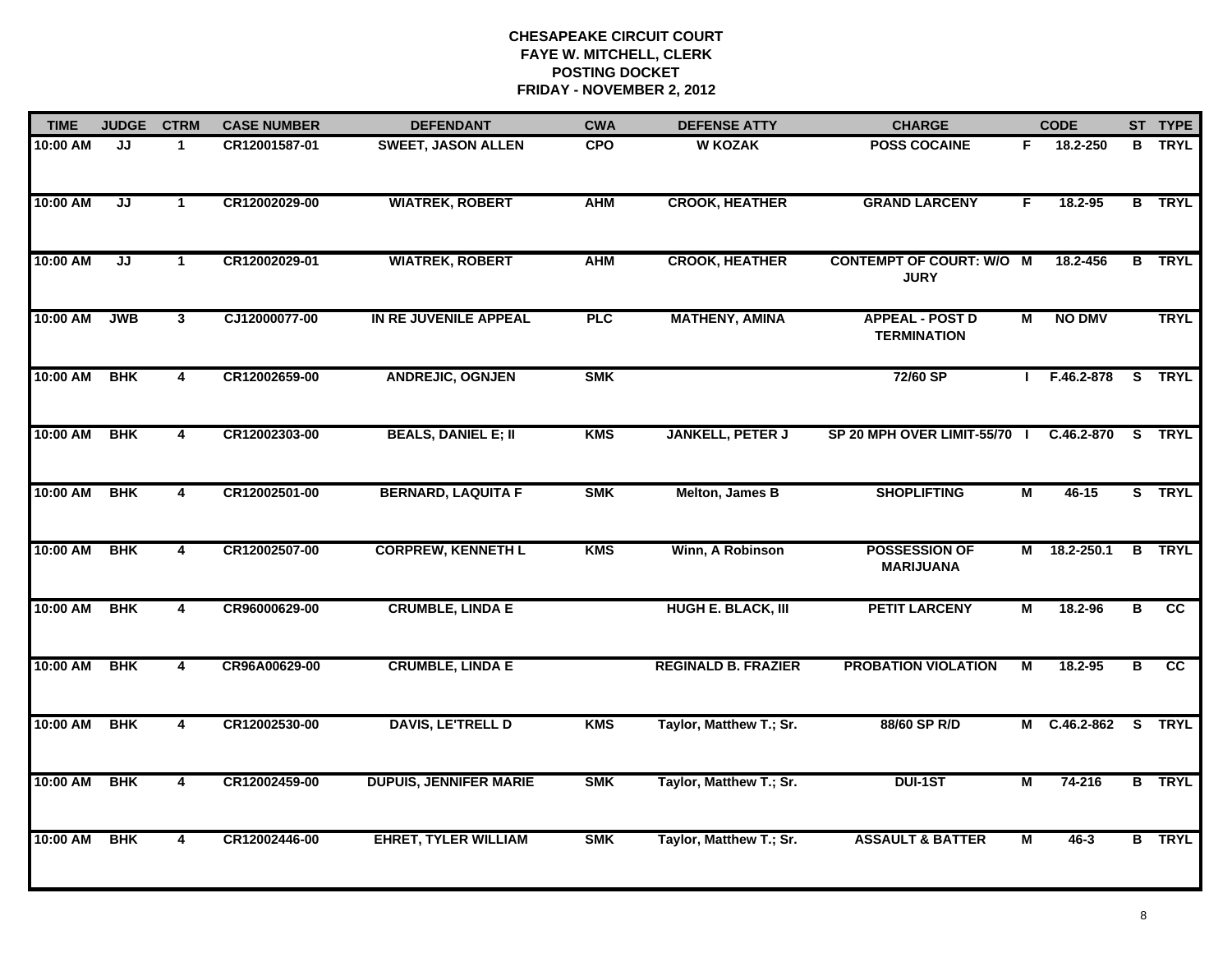| <b>TIME</b> | <b>JUDGE</b>                      | <b>CTRM</b>             | <b>CASE NUMBER</b> | <b>DEFENDANT</b>              | <b>CWA</b> | <b>DEFENSE ATTY</b>        | <b>CHARGE</b>                                  |                | <b>CODE</b>       |   | ST TYPE       |
|-------------|-----------------------------------|-------------------------|--------------------|-------------------------------|------------|----------------------------|------------------------------------------------|----------------|-------------------|---|---------------|
| 10:00 AM    | JJ                                | $\mathbf{1}$            | CR12001587-01      | <b>SWEET, JASON ALLEN</b>     | <b>CPO</b> | <b>W KOZAK</b>             | <b>POSS COCAINE</b>                            | F.             | 18.2-250          |   | <b>B</b> TRYL |
| 10:00 AM    | $\overline{\mathsf{J}\mathsf{J}}$ | $\mathbf{1}$            | CR12002029-00      | <b>WIATREK, ROBERT</b>        | <b>AHM</b> | <b>CROOK, HEATHER</b>      | <b>GRAND LARCENY</b>                           | F.             | 18.2-95           |   | <b>B</b> TRYL |
| 10:00 AM    | $\overline{\mathsf{J}\mathsf{J}}$ | $\mathbf{1}$            | CR12002029-01      | <b>WIATREK, ROBERT</b>        | <b>AHM</b> | <b>CROOK, HEATHER</b>      | <b>CONTEMPT OF COURT: W/O M</b><br><b>JURY</b> |                | 18.2-456          |   | <b>B</b> TRYL |
| 10:00 AM    | <b>JWB</b>                        | $\mathbf{3}$            | CJ12000077-00      | IN RE JUVENILE APPEAL         | PLC        | <b>MATHENY, AMINA</b>      | <b>APPEAL - POST D</b><br><b>TERMINATION</b>   | М              | <b>NO DMV</b>     |   | <b>TRYL</b>   |
| 10:00 AM    | <b>BHK</b>                        | 4                       | CR12002659-00      | <b>ANDREJIC, OGNJEN</b>       | <b>SMK</b> |                            | 72/60 SP                                       | $\mathbf{I}$   | F.46.2-878        |   | S TRYL        |
| 10:00 AM    | <b>BHK</b>                        | 4                       | CR12002303-00      | <b>BEALS, DANIEL E; II</b>    | <b>KMS</b> | <b>JANKELL, PETER J</b>    | SP 20 MPH OVER LIMIT-55/70 I                   |                | C.46.2-870 S TRYL |   |               |
| 10:00 AM    | <b>BHK</b>                        | $\overline{\mathbf{4}}$ | CR12002501-00      | <b>BERNARD, LAQUITA F</b>     | <b>SMK</b> | Melton, James B            | <b>SHOPLIFTING</b>                             | $\overline{M}$ | $46 - 15$         |   | S TRYL        |
| 10:00 AM    | <b>BHK</b>                        | $\overline{4}$          | CR12002507-00      | <b>CORPREW, KENNETH L</b>     | <b>KMS</b> | Winn, A Robinson           | <b>POSSESSION OF</b><br><b>MARIJUANA</b>       | M              | 18.2-250.1        |   | <b>B</b> TRYL |
| 10:00 AM    | <b>BHK</b>                        | 4                       | CR96000629-00      | <b>CRUMBLE, LINDA E</b>       |            | <b>HUGH E. BLACK, III</b>  | <b>PETIT LARCENY</b>                           | М              | 18.2-96           | В | CC            |
| 10:00 AM    | <b>BHK</b>                        | 4                       | CR96A00629-00      | <b>CRUMBLE, LINDA E</b>       |            | <b>REGINALD B. FRAZIER</b> | <b>PROBATION VIOLATION</b>                     | М              | $18.2 - 95$       | в | <b>CC</b>     |
| 10:00 AM    | <b>BHK</b>                        | 4                       | CR12002530-00      | <b>DAVIS, LE'TRELL D</b>      | <b>KMS</b> | Taylor, Matthew T.; Sr.    | 88/60 SP R/D                                   |                | M C.46.2-862      |   | S TRYL        |
| 10:00 AM    | <b>BHK</b>                        | 4                       | CR12002459-00      | <b>DUPUIS, JENNIFER MARIE</b> | <b>SMK</b> | Taylor, Matthew T.; Sr.    | <b>DUI-1ST</b>                                 | М              | 74-216            |   | <b>B</b> TRYL |
| 10:00 AM    | <b>BHK</b>                        | 4                       | CR12002446-00      | <b>EHRET, TYLER WILLIAM</b>   | <b>SMK</b> | Taylor, Matthew T.; Sr.    | <b>ASSAULT &amp; BATTER</b>                    | М              | $46 - 3$          |   | <b>B</b> TRYL |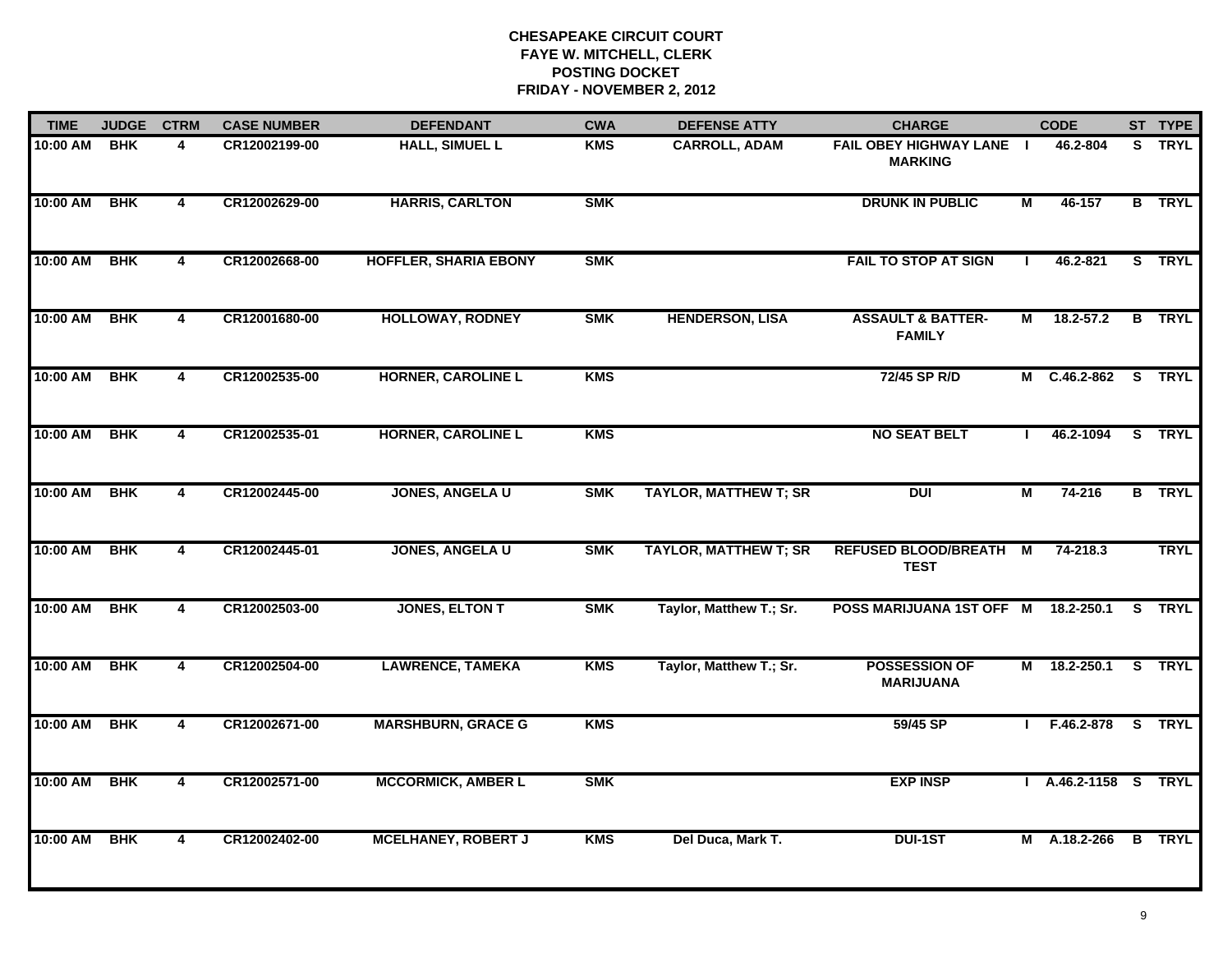| <b>TIME</b> | <b>JUDGE</b> | <b>CTRM</b>             | <b>CASE NUMBER</b> | <b>DEFENDANT</b>             | <b>CWA</b> | <b>DEFENSE ATTY</b>          | <b>CHARGE</b>                                 |                | <b>CODE</b>          | ST TYPE       |
|-------------|--------------|-------------------------|--------------------|------------------------------|------------|------------------------------|-----------------------------------------------|----------------|----------------------|---------------|
| 10:00 AM    | <b>BHK</b>   | 4                       | CR12002199-00      | <b>HALL, SIMUEL L</b>        | <b>KMS</b> | <b>CARROLL, ADAM</b>         | FAIL OBEY HIGHWAY LANE I<br><b>MARKING</b>    |                | 46.2-804             | S TRYL        |
| 10:00 AM    | <b>BHK</b>   | 4                       | CR12002629-00      | <b>HARRIS, CARLTON</b>       | <b>SMK</b> |                              | <b>DRUNK IN PUBLIC</b>                        | М              | 46-157               | <b>B</b> TRYL |
| 10:00 AM    | <b>BHK</b>   | $\overline{4}$          | CR12002668-00      | <b>HOFFLER, SHARIA EBONY</b> | <b>SMK</b> |                              | <b>FAIL TO STOP AT SIGN</b>                   | $\mathbf{I}$   | 46.2-821             | S TRYL        |
| 10:00 AM    | <b>BHK</b>   | 4                       | CR12001680-00      | <b>HOLLOWAY, RODNEY</b>      | <b>SMK</b> | <b>HENDERSON, LISA</b>       | <b>ASSAULT &amp; BATTER-</b><br><b>FAMILY</b> | М              | $18.2 - 57.2$        | <b>B</b> TRYL |
| 10:00 AM    | <b>BHK</b>   | 4                       | CR12002535-00      | <b>HORNER, CAROLINE L</b>    | <b>KMS</b> |                              | 72/45 SP R/D                                  |                | M C.46.2-862 S TRYL  |               |
| 10:00 AM    | <b>BHK</b>   | $\overline{\mathbf{4}}$ | CR12002535-01      | <b>HORNER, CAROLINE L</b>    | <b>KMS</b> |                              | <b>NO SEAT BELT</b>                           |                | 46.2-1094            | S TRYL        |
| 10:00 AM    | <b>BHK</b>   | $\overline{\mathbf{4}}$ | CR12002445-00      | <b>JONES, ANGELA U</b>       | <b>SMK</b> | <b>TAYLOR, MATTHEW T; SR</b> | <b>DUI</b>                                    | М              | 74-216               | <b>B</b> TRYL |
| 10:00 AM    | <b>BHK</b>   | $\overline{4}$          | CR12002445-01      | <b>JONES, ANGELA U</b>       | <b>SMK</b> | <b>TAYLOR, MATTHEW T; SR</b> | <b>REFUSED BLOOD/BREATH</b><br><b>TEST</b>    | $\overline{M}$ | 74-218.3             | <b>TRYL</b>   |
| 10:00 AM    | <b>BHK</b>   | 4                       | CR12002503-00      | JONES, ELTON T               | <b>SMK</b> | Taylor, Matthew T.; Sr.      | POSS MARIJUANA 1ST OFF M                      |                | 18.2-250.1           | S TRYL        |
| 10:00 AM    | <b>BHK</b>   | 4                       | CR12002504-00      | <b>LAWRENCE, TAMEKA</b>      | <b>KMS</b> | Taylor, Matthew T.; Sr.      | <b>POSSESSION OF</b><br><b>MARIJUANA</b>      |                | M 18.2-250.1         | S TRYL        |
| 10:00 AM    | <b>BHK</b>   | 4                       | CR12002671-00      | <b>MARSHBURN, GRACE G</b>    | <b>KMS</b> |                              | 59/45 SP                                      |                | $I$ F.46.2-878       | S TRYL        |
| 10:00 AM    | <b>BHK</b>   | $\overline{4}$          | CR12002571-00      | <b>MCCORMICK, AMBER L</b>    | <b>SMK</b> |                              | <b>EXP INSP</b>                               |                | I A.46.2-1158 S TRYL |               |
| 10:00 AM    | <b>BHK</b>   | $\overline{4}$          | CR12002402-00      | <b>MCELHANEY, ROBERT J</b>   | <b>KMS</b> | Del Duca, Mark T.            | <b>DUI-1ST</b>                                |                | M A.18.2-266         | <b>B</b> TRYL |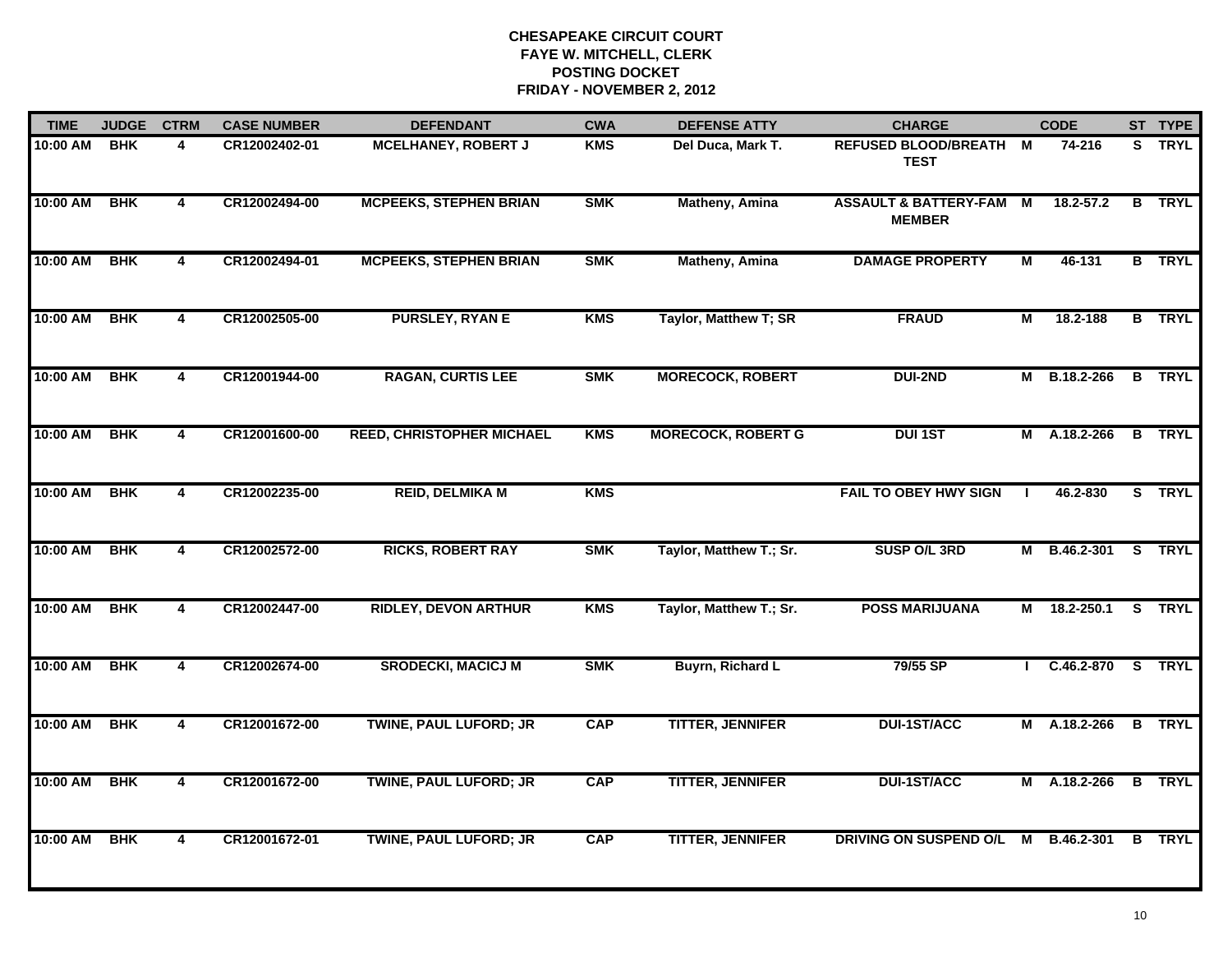| <b>TIME</b> | <b>JUDGE</b> | <b>CTRM</b>             | <b>CASE NUMBER</b> | <b>DEFENDANT</b>                 | <b>CWA</b> | <b>DEFENSE ATTY</b>       | <b>CHARGE</b>                                     |                         | <b>CODE</b>    |   | ST TYPE       |
|-------------|--------------|-------------------------|--------------------|----------------------------------|------------|---------------------------|---------------------------------------------------|-------------------------|----------------|---|---------------|
| 10:00 AM    | <b>BHK</b>   | 4                       | CR12002402-01      | <b>MCELHANEY, ROBERT J</b>       | <b>KMS</b> | Del Duca, Mark T.         | REFUSED BLOOD/BREATH M<br><b>TEST</b>             |                         | 74-216         |   | S TRYL        |
| 10:00 AM    | <b>BHK</b>   | $\overline{4}$          | CR12002494-00      | <b>MCPEEKS, STEPHEN BRIAN</b>    | <b>SMK</b> | Matheny, Amina            | <b>ASSAULT &amp; BATTERY-FAM</b><br><b>MEMBER</b> | M                       | $18.2 - 57.2$  | B | <b>TRYL</b>   |
| 10:00 AM    | <b>BHK</b>   | $\overline{4}$          | CR12002494-01      | <b>MCPEEKS, STEPHEN BRIAN</b>    | <b>SMK</b> | <b>Matheny, Amina</b>     | <b>DAMAGE PROPERTY</b>                            | $\overline{\mathsf{M}}$ | 46-131         |   | <b>B</b> TRYL |
| 10:00 AM    | <b>BHK</b>   | 4                       | CR12002505-00      | <b>PURSLEY, RYAN E</b>           | <b>KMS</b> | Taylor, Matthew T; SR     | <b>FRAUD</b>                                      | М                       | 18.2-188       |   | <b>B</b> TRYL |
| 10:00 AM    | <b>BHK</b>   | 4                       | CR12001944-00      | <b>RAGAN, CURTIS LEE</b>         | <b>SMK</b> | <b>MORECOCK, ROBERT</b>   | <b>DUI-2ND</b>                                    |                         | M B.18.2-266   |   | <b>B</b> TRYL |
| 10:00 AM    | <b>BHK</b>   | 4                       | CR12001600-00      | <b>REED, CHRISTOPHER MICHAEL</b> | <b>KMS</b> | <b>MORECOCK, ROBERT G</b> | <b>DUI 1ST</b>                                    |                         | M A.18.2-266   |   | <b>B</b> TRYL |
| 10:00 AM    | <b>BHK</b>   | $\overline{\mathbf{4}}$ | CR12002235-00      | <b>REID, DELMIKA M</b>           | <b>KMS</b> |                           | <b>FAIL TO OBEY HWY SIGN</b>                      | $\mathbf{I}$            | 46.2-830       |   | S TRYL        |
| 10:00 AM    | <b>BHK</b>   | 4                       | CR12002572-00      | <b>RICKS, ROBERT RAY</b>         | <b>SMK</b> | Taylor, Matthew T.; Sr.   | <b>SUSP O/L 3RD</b>                               |                         | M B.46.2-301   |   | S TRYL        |
| 10:00 AM    | <b>BHK</b>   | 4                       | CR12002447-00      | <b>RIDLEY, DEVON ARTHUR</b>      | <b>KMS</b> | Taylor, Matthew T.; Sr.   | <b>POSS MARIJUANA</b>                             | М                       | 18.2-250.1     |   | S TRYL        |
| 10:00 AM    | <b>BHK</b>   | 4                       | CR12002674-00      | <b>SRODECKI, MACICJ M</b>        | <b>SMK</b> | Buyrn, Richard L          | 79/55 SP                                          |                         | $C.46.2 - 870$ |   | S TRYL        |
| 10:00 AM    | <b>BHK</b>   | $\overline{4}$          | CR12001672-00      | <b>TWINE, PAUL LUFORD; JR</b>    | <b>CAP</b> | <b>TITTER, JENNIFER</b>   | <b>DUI-1ST/ACC</b>                                |                         | M A.18.2-266   |   | <b>B</b> TRYL |
| 10:00 AM    | <b>BHK</b>   | 4                       | CR12001672-00      | <b>TWINE, PAUL LUFORD; JR</b>    | <b>CAP</b> | <b>TITTER, JENNIFER</b>   | <b>DUI-1ST/ACC</b>                                |                         | M A.18.2-266   |   | <b>B</b> TRYL |
| 10:00 AM    | <b>BHK</b>   | $\overline{4}$          | CR12001672-01      | <b>TWINE, PAUL LUFORD; JR</b>    | <b>CAP</b> | <b>TITTER, JENNIFER</b>   | DRIVING ON SUSPEND O/L                            |                         | M B.46.2-301   |   | <b>B</b> TRYL |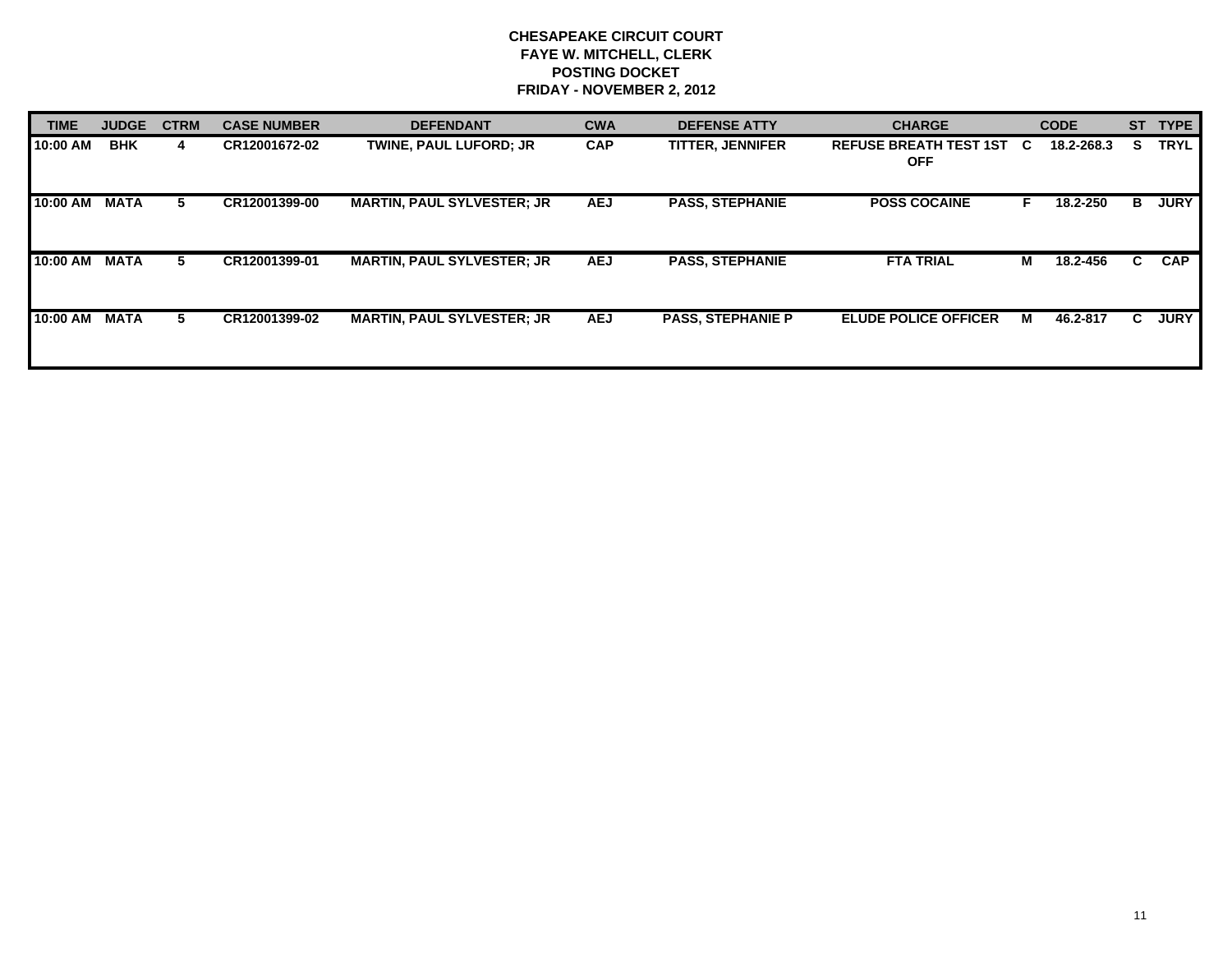| <b>TIME</b> | <b>JUDGE</b> | <b>CTRM</b> | <b>CASE NUMBER</b> | <b>DEFENDANT</b>                  | <b>CWA</b> | <b>DEFENSE ATTY</b>      | <b>CHARGE</b>                               |    | <b>CODE</b> | <b>ST</b> | <b>TYPE</b> |
|-------------|--------------|-------------|--------------------|-----------------------------------|------------|--------------------------|---------------------------------------------|----|-------------|-----------|-------------|
| 10:00 AM    | <b>BHK</b>   | 4           | CR12001672-02      | <b>TWINE, PAUL LUFORD: JR</b>     | <b>CAP</b> | <b>TITTER, JENNIFER</b>  | <b>REFUSE BREATH TEST 1ST</b><br><b>OFF</b> | C. | 18.2-268.3  | S.        | <b>TRYL</b> |
| 10:00 AM    | <b>MATA</b>  | 5.          | CR12001399-00      | <b>MARTIN, PAUL SYLVESTER; JR</b> | <b>AEJ</b> | <b>PASS, STEPHANIE</b>   | <b>POSS COCAINE</b>                         | Е  | 18.2-250    | в         | <b>JURY</b> |
| 10:00 AM    | <b>MATA</b>  | 5.          | CR12001399-01      | <b>MARTIN, PAUL SYLVESTER; JR</b> | <b>AEJ</b> | <b>PASS, STEPHANIE</b>   | <b>FTA TRIAL</b>                            | М  | 18.2-456    | C.        | <b>CAP</b>  |
| 10:00 AM    | <b>MATA</b>  | 5.          | CR12001399-02      | <b>MARTIN, PAUL SYLVESTER; JR</b> | <b>AEJ</b> | <b>PASS, STEPHANIE P</b> | <b>ELUDE POLICE OFFICER</b>                 | м  | 46.2-817    | C.        | <b>JURY</b> |